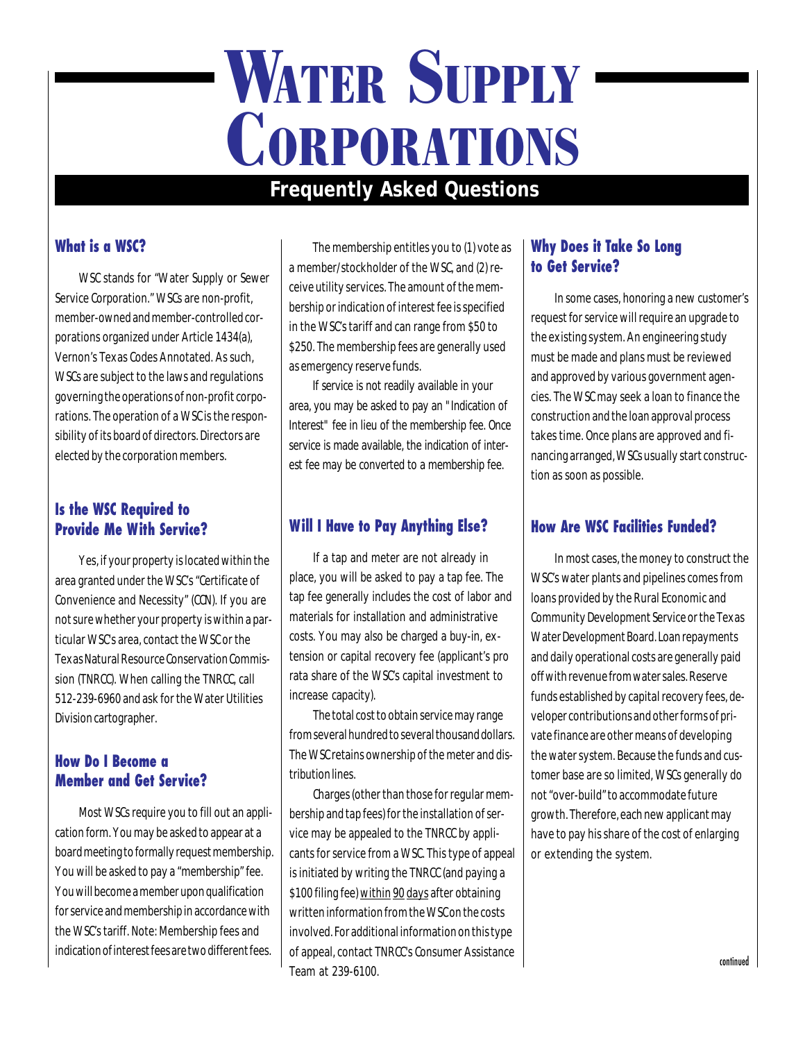# **WATER SUPPLY CORPORATIONS**

# **Frequently Asked Questions**

#### **What is a WSC?**

WSC stands for "Water Supply or Sewer Service Corporation." WSCs are non-profit, member-owned and member-controlled corporations organized under Article 1434(a), Vernon's Texas Codes Annotated. As such, WSCs are subject to the laws and regulations governing the operations of non-profit corporations. The operation of a WSC is the responsibility of its board of directors. Directors are elected by the corporation members.

#### **Is the WSC Required to Provide Me With Service?**

Yes, if your property is located within the area granted under the WSC's "Certificate of Convenience and Necessity" (CCN). If you are not sure whether your property is within a particular WSC's area, contact the WSC or the Texas Natural Resource Conservation Commission (TNRCC). When calling the TNRCC, call 512-239-6960 and ask for the Water Utilities Division cartographer.

#### **How Do I Become a Member and Get Service?**

Most WSCs require you to fill out an application form. You may be asked to appear at a board meeting to formally request membership. You will be asked to pay a "membership" fee. You will become a member upon qualification for service and membership in accordance with the WSC's tariff. Note: Membership fees and indication of interest fees are two different fees.

The membership entitles you to (1) vote as a member/stockholder of the WSC, and (2) receive utility services. The amount of the membership or indication of interest fee is specified in the WSC's tariff and can range from \$50 to \$250. The membership fees are generally used as emergency reserve funds.

If service is not readily available in your area, you may be asked to pay an "Indication of Interest" fee in lieu of the membership fee. Once service is made available, the indication of interest fee may be converted to a membership fee.

# **Will I Have to Pay Anything Else?**

If a tap and meter are not already in place, you will be asked to pay a tap fee. The tap fee generally includes the cost of labor and materials for installation and administrative costs. You may also be charged a buy-in, extension or capital recovery fee (applicant's pro rata share of the WSC's capital investment to increase capacity).

The total cost to obtain service may range from several hundred to several thousand dollars. The WSC retains ownership of the meter and distribution lines.

Charges (other than those for regular membership and tap fees) for the installation of service may be appealed to the TNRCC by applicants for service from a WSC. This type of appeal is initiated by writing the TNRCC (and paying a \$100 filing fee) within 90 days after obtaining written information from the WSC on the costs involved. For additional information on this type of appeal, contact TNRCC's Consumer Assistance Team at 239-6100.

#### **Why Does it Take So Long to Get Service?**

In some cases, honoring a new customer's request for service will require an upgrade to the existing system. An engineering study must be made and plans must be reviewed and approved by various government agencies. The WSC may seek a loan to finance the construction and the loan approval process takes time. Once plans are approved and financing arranged, WSCs usually start construction as soon as possible.

## **How Are WSC Facilities Funded?**

In most cases, the money to construct the WSC's water plants and pipelines comes from loans provided by the Rural Economic and Community Development Service or the Texas Water Development Board. Loan repayments and daily operational costs are generally paid off with revenue from water sales. Reserve funds established by capital recovery fees, developer contributions and other forms of private finance are other means of developing the water system. Because the funds and customer base are so limited, WSCs generally do not "over-build" to accommodate future growth. Therefore, each new applicant may have to pay his share of the cost of enlarging or extending the system.